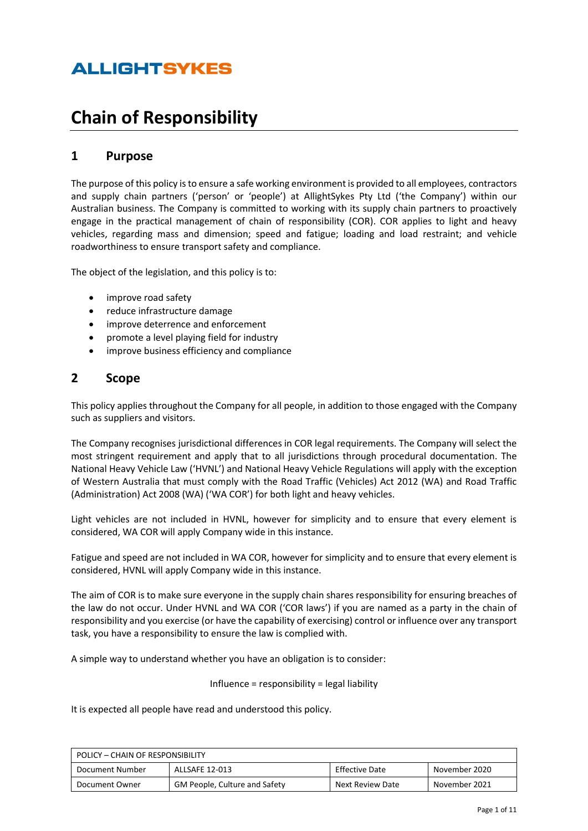# **Chain of Responsibility**

## **1 Purpose**

The purpose of this policy is to ensure a safe working environment is provided to all employees, contractors and supply chain partners ('person' or 'people') at AllightSykes Pty Ltd ('the Company') within our Australian business. The Company is committed to working with its supply chain partners to proactively engage in the practical management of chain of responsibility (COR). COR applies to light and heavy vehicles, regarding mass and dimension; speed and fatigue; loading and load restraint; and vehicle roadworthiness to ensure transport safety and compliance.

The object of the legislation, and this policy is to:

- improve road safety
- reduce infrastructure damage
- improve deterrence and enforcement
- promote a level playing field for industry
- improve business efficiency and compliance

## **2 Scope**

This policy applies throughout the Company for all people, in addition to those engaged with the Company such as suppliers and visitors.

The Company recognises jurisdictional differences in COR legal requirements. The Company will select the most stringent requirement and apply that to all jurisdictions through procedural documentation. The National Heavy Vehicle Law ('HVNL') and National Heavy Vehicle Regulations will apply with the exception of Western Australia that must comply with the Road Traffic (Vehicles) Act 2012 (WA) and Road Traffic (Administration) Act 2008 (WA) ('WA COR') for both light and heavy vehicles.

Light vehicles are not included in HVNL, however for simplicity and to ensure that every element is considered, WA COR will apply Company wide in this instance.

Fatigue and speed are not included in WA COR, however for simplicity and to ensure that every element is considered, HVNL will apply Company wide in this instance.

The aim of COR is to make sure everyone in the supply chain shares responsibility for ensuring breaches of the law do not occur. Under HVNL and WA COR ('COR laws') if you are named as a party in the chain of responsibility and you exercise (or have the capability of exercising) control or influence over any transport task, you have a responsibility to ensure the law is complied with.

A simple way to understand whether you have an obligation is to consider:

Influence = responsibility = legal liability

It is expected all people have read and understood this policy.

| POLICY - CHAIN OF RESPONSIBILITY                                                            |  |  |  |
|---------------------------------------------------------------------------------------------|--|--|--|
| <b>Effective Date</b><br>ALLSAFE 12-013<br>November 2020<br>Document Number                 |  |  |  |
| <b>GM People, Culture and Safety</b><br>November 2021<br>Next Review Date<br>Document Owner |  |  |  |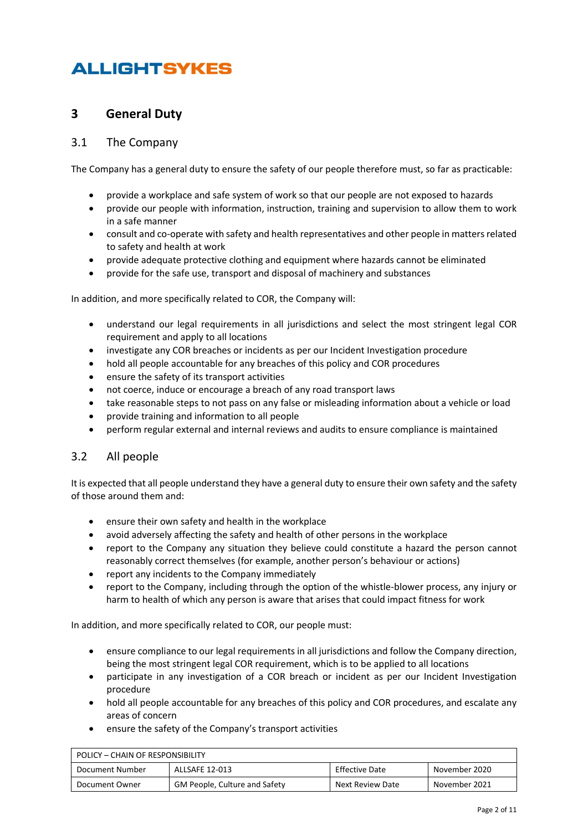## **3 General Duty**

#### 3.1 The Company

The Company has a general duty to ensure the safety of our people therefore must, so far as practicable:

- provide a workplace and safe system of work so that our people are not exposed to hazards
- provide our people with information, instruction, training and supervision to allow them to work in a safe manner
- consult and co-operate with safety and health representatives and other people in matters related to safety and health at work
- provide adequate protective clothing and equipment where hazards cannot be eliminated
- provide for the safe use, transport and disposal of machinery and substances

In addition, and more specifically related to COR, the Company will:

- understand our legal requirements in all jurisdictions and select the most stringent legal COR requirement and apply to all locations
- investigate any COR breaches or incidents as per our Incident Investigation procedure
- hold all people accountable for any breaches of this policy and COR procedures
- ensure the safety of its transport activities
- not coerce, induce or encourage a breach of any road transport laws
- take reasonable steps to not pass on any false or misleading information about a vehicle or load
- provide training and information to all people
- perform regular external and internal reviews and audits to ensure compliance is maintained

#### 3.2 All people

It is expected that all people understand they have a general duty to ensure their own safety and the safety of those around them and:

- ensure their own safety and health in the workplace
- avoid adversely affecting the safety and health of other persons in the workplace
- report to the Company any situation they believe could constitute a hazard the person cannot reasonably correct themselves (for example, another person's behaviour or actions)
- report any incidents to the Company immediately
- report to the Company, including through the option of the whistle-blower process, any injury or harm to health of which any person is aware that arises that could impact fitness for work

In addition, and more specifically related to COR, our people must:

- ensure compliance to our legal requirements in all jurisdictions and follow the Company direction, being the most stringent legal COR requirement, which is to be applied to all locations
- participate in any investigation of a COR breach or incident as per our Incident Investigation procedure
- hold all people accountable for any breaches of this policy and COR procedures, and escalate any areas of concern
- ensure the safety of the Company's transport activities

| POLICY – CHAIN OF RESPONSIBILITY                                     |                                      |                  |               |
|----------------------------------------------------------------------|--------------------------------------|------------------|---------------|
| Effective Date<br>ALLSAFE 12-013<br>November 2020<br>Document Number |                                      |                  |               |
| Document Owner                                                       | <b>GM People, Culture and Safety</b> | Next Review Date | November 2021 |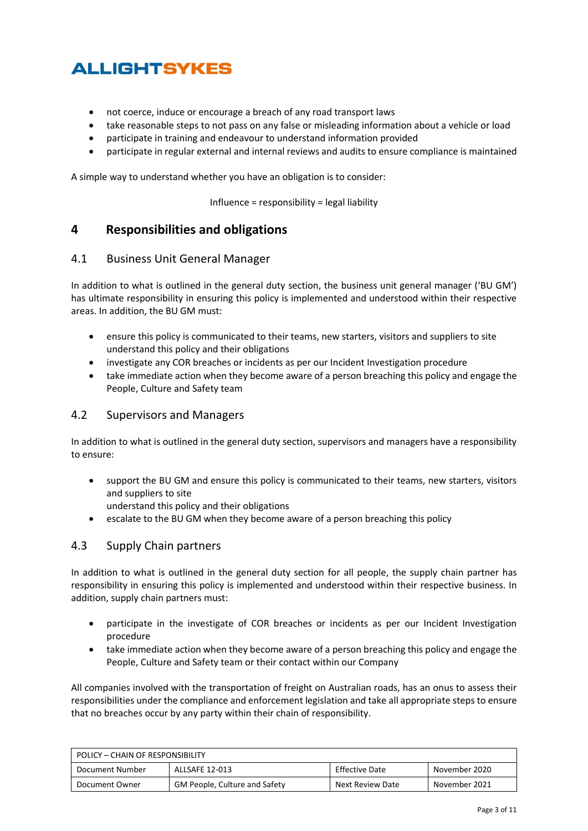- not coerce, induce or encourage a breach of any road transport laws
- take reasonable steps to not pass on any false or misleading information about a vehicle or load
- participate in training and endeavour to understand information provided
- participate in regular external and internal reviews and audits to ensure compliance is maintained

A simple way to understand whether you have an obligation is to consider:

Influence = responsibility = legal liability

### **4 Responsibilities and obligations**

#### 4.1 Business Unit General Manager

In addition to what is outlined in the general duty section, the business unit general manager ('BU GM') has ultimate responsibility in ensuring this policy is implemented and understood within their respective areas. In addition, the BU GM must:

- ensure this policy is communicated to their teams, new starters, visitors and suppliers to site understand this policy and their obligations
- investigate any COR breaches or incidents as per our Incident Investigation procedure
- take immediate action when they become aware of a person breaching this policy and engage the People, Culture and Safety team

### 4.2 Supervisors and Managers

In addition to what is outlined in the general duty section, supervisors and managers have a responsibility to ensure:

- support the BU GM and ensure this policy is communicated to their teams, new starters, visitors and suppliers to site
	- understand this policy and their obligations
- escalate to the BU GM when they become aware of a person breaching this policy

### 4.3 Supply Chain partners

In addition to what is outlined in the general duty section for all people, the supply chain partner has responsibility in ensuring this policy is implemented and understood within their respective business. In addition, supply chain partners must:

- participate in the investigate of COR breaches or incidents as per our Incident Investigation procedure
- take immediate action when they become aware of a person breaching this policy and engage the People, Culture and Safety team or their contact within our Company

All companies involved with the transportation of freight on Australian roads, has an onus to assess their responsibilities under the compliance and enforcement legislation and take all appropriate steps to ensure that no breaches occur by any party within their chain of responsibility.

| POLICY - CHAIN OF RESPONSIBILITY                                                     |  |  |  |
|--------------------------------------------------------------------------------------|--|--|--|
| Effective Date<br>ALLSAFE 12-013<br>Document Number<br>November 2020                 |  |  |  |
| GM People, Culture and Safety<br>November 2021<br>Next Review Date<br>Document Owner |  |  |  |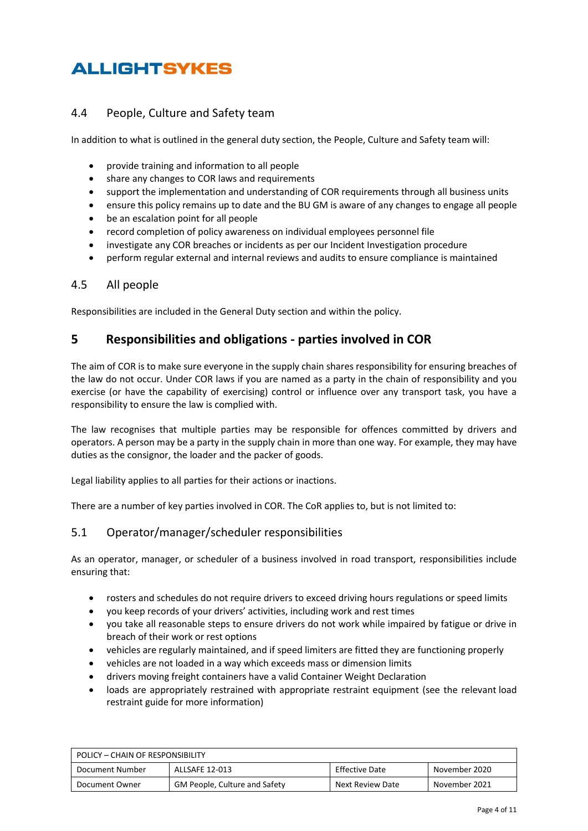### 4.4 People, Culture and Safety team

In addition to what is outlined in the general duty section, the People, Culture and Safety team will:

- provide training and information to all people
- share any changes to COR laws and requirements
- support the implementation and understanding of COR requirements through all business units
- ensure this policy remains up to date and the BU GM is aware of any changes to engage all people
- be an escalation point for all people
- record completion of policy awareness on individual employees personnel file
- investigate any COR breaches or incidents as per our Incident Investigation procedure
- perform regular external and internal reviews and audits to ensure compliance is maintained

#### 4.5 All people

Responsibilities are included in the General Duty section and within the policy.

### **5 Responsibilities and obligations - parties involved in COR**

The aim of COR is to make sure everyone in the supply chain shares responsibility for ensuring breaches of the law do not occur. Under COR laws if you are named as a party in the chain of responsibility and you exercise (or have the capability of exercising) control or influence over any transport task, you have a responsibility to ensure the law is complied with.

The law recognises that multiple parties may be responsible for offences committed by drivers and operators. A person may be a party in the supply chain in more than one way. For example, they may have duties as the consignor, the loader and the packer of goods.

Legal liability applies to all parties for their actions or inactions.

There are a number of key parties involved in COR. The CoR applies to, but is not limited to:

### 5.1 Operator/manager/scheduler responsibilities

As an operator, manager, or scheduler of a business involved in road transport, responsibilities include ensuring that:

- rosters and schedules do not require drivers to exceed driving hours regulations or speed limits
- you keep records of your drivers' activities, including work and rest times
- you take all reasonable steps to ensure drivers do not work while impaired by fatigue or drive in breach of their work or rest options
- vehicles are regularly maintained, and if speed limiters are fitted they are functioning properly
- vehicles are not loaded in a way which exceeds mass or dimension limits
- drivers moving freight containers have a vali[d Container Weight Declaration](https://www.nhvr.gov.au/safety-accreditation-compliance/on-road-compliance-and-enforcement/container-weight-declarations)
- loads are appropriately restrained with appropriate restraint equipment (see the relevant [load](https://www.ntc.gov.au/codes-and-guidelines/load-restraint-guide)  restraint guide for more information)

| POLICY – CHAIN OF RESPONSIBILITY                                            |                                      |                  |               |
|-----------------------------------------------------------------------------|--------------------------------------|------------------|---------------|
| <b>Effective Date</b><br>ALLSAFE 12-013<br>November 2020<br>Document Number |                                      |                  |               |
| Document Owner                                                              | <b>GM People, Culture and Safety</b> | Next Review Date | November 2021 |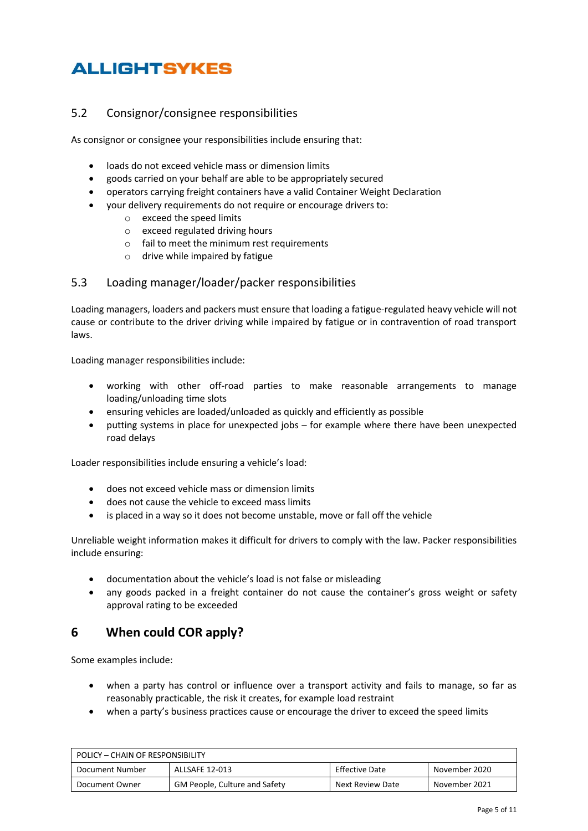## 5.2 Consignor/consignee responsibilities

As consignor or consignee your responsibilities include ensuring that:

- loads do not exceed vehicle mass or dimension limits
- goods carried on your behalf are able to be appropriately secured
- operators carrying freight containers have a valid [Container Weight Declaration](https://www.nhvr.gov.au/safety-accreditation-compliance/on-road-compliance-and-enforcement/container-weight-declarations) 
	- your delivery requirements do not require or encourage drivers to:
		- o exceed the speed limits
		- o exceed regulated driving hours
		- o fail to meet the minimum rest requirements
		- o drive while impaired by fatigue

### 5.3 Loading manager/loader/packer responsibilities

Loading managers, loaders and packers must ensure that loading a fatigue-regulated heavy vehicle will not cause or contribute to the driver driving while impaired by fatigue or in contravention of road transport laws.

Loading manager responsibilities include:

- working with other off-road parties to make reasonable arrangements to manage loading/unloading time slots
- ensuring vehicles are loaded/unloaded as quickly and efficiently as possible
- putting systems in place for unexpected jobs for example where there have been unexpected road delays

Loader responsibilities include ensuring a vehicle's load:

- does not exceed vehicle mass or dimension limits
- does not cause the vehicle to exceed mass limits
- is placed in a way so it does not become unstable, move or fall off the vehicle

Unreliable weight information makes it difficult for drivers to comply with the law. Packer responsibilities include ensuring:

- documentation about the vehicle's load is not false or misleading
- any goods packed in a freight container do not cause the container's gross weight or safety approval rating to be exceeded

## **6 When could COR apply?**

Some examples include:

- when a party has control or influence over a transport activity and fails to manage, so far as reasonably practicable, the risk it creates, for example load restraint
- when a party's business practices cause or encourage the driver to exceed the speed limits

| POLICY – CHAIN OF RESPONSIBILITY                                     |                                      |                  |               |
|----------------------------------------------------------------------|--------------------------------------|------------------|---------------|
| Effective Date<br>ALLSAFE 12-013<br>Document Number<br>November 2020 |                                      |                  |               |
| Document Owner                                                       | <b>GM People, Culture and Safety</b> | Next Review Date | November 2021 |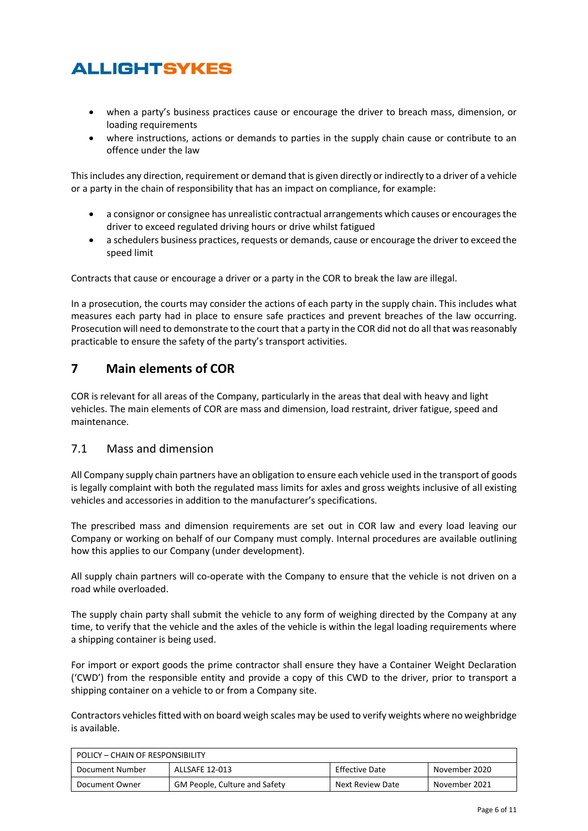- when a party's business practices cause or encourage the driver to breach mass, dimension, or loading requirements
- where instructions, actions or demands to parties in the supply chain cause or contribute to an offence under the law

This includes any direction, requirement or demand that is given directly or indirectly to a driver of a vehicle or a party in the chain of responsibility that has an impact on compliance, for example:

- a consignor or consignee has unrealistic contractual arrangements which causes or encourages the driver to exceed regulated driving hours or drive whilst fatigued
- a schedulers business practices, requests or demands, cause or encourage the driver to exceed the speed limit

Contracts that cause or encourage a driver or a party in the COR to break the law are illegal.

In a prosecution, the courts may consider the actions of each party in the supply chain. This includes what measures each party had in place to ensure safe practices and prevent breaches of the law occurring. Prosecution will need to demonstrate to the court that a party in the COR did not do all that was reasonably practicable to ensure the safety of the party's transport activities.

## **7 Main elements of COR**

COR is relevant for all areas of the Company, particularly in the areas that deal with heavy and light vehicles. The main elements of COR are mass and dimension, load restraint, driver fatigue, speed and maintenance.

### 7.1 Mass and dimension

All Company supply chain partners have an obligation to ensure each vehicle used in the transport of goods is legally complaint with both the regulated mass limits for axles and gross weights inclusive of all existing vehicles and accessories in addition to the manufacturer's specifications.

The prescribed mass and dimension requirements are set out in COR law and every load leaving our Company or working on behalf of our Company must comply. Internal procedures are available outlining how this applies to our Company (under development).

All supply chain partners will co-operate with the Company to ensure that the vehicle is not driven on a road while overloaded.

The supply chain party shall submit the vehicle to any form of weighing directed by the Company at any time, to verify that the vehicle and the axles of the vehicle is within the legal loading requirements where a shipping container is being used.

For import or export goods the prime contractor shall ensure they have a Container Weight Declaration ('CWD') from the responsible entity and provide a copy of this CWD to the driver, prior to transport a shipping container on a vehicle to or from a Company site.

Contractors vehicles fitted with on board weigh scales may be used to verify weights where no weighbridge is available.

| POLICY - CHAIN OF RESPONSIBILITY                                            |                                      |                  |               |
|-----------------------------------------------------------------------------|--------------------------------------|------------------|---------------|
| <b>Effective Date</b><br>ALLSAFE 12-013<br>November 2020<br>Document Number |                                      |                  |               |
| Document Owner                                                              | <b>GM People, Culture and Safety</b> | Next Review Date | November 2021 |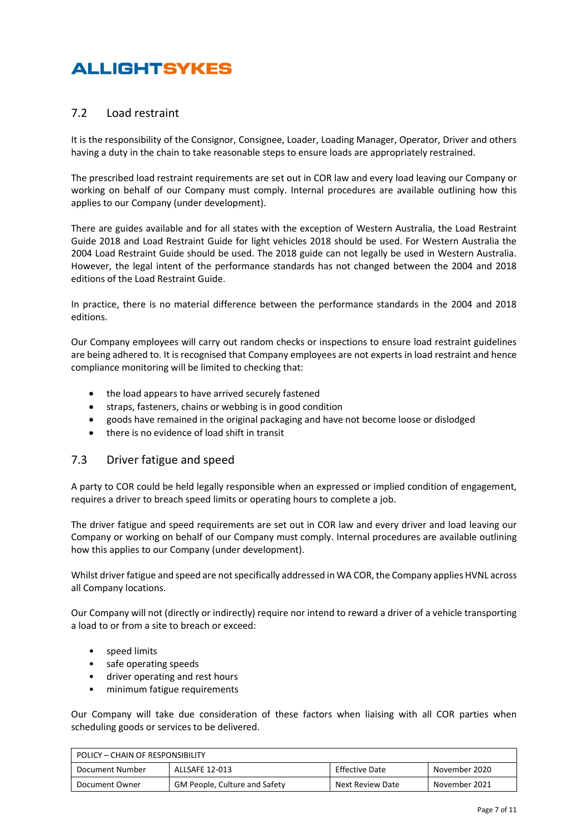### 7.2 Load restraint

It is the responsibility of the Consignor, Consignee, Loader, Loading Manager, Operator, Driver and others having a duty in the chain to take reasonable steps to ensure loads are appropriately restrained.

The prescribed load restraint requirements are set out in COR law and every load leaving our Company or working on behalf of our Company must comply. Internal procedures are available outlining how this applies to our Company (under development).

There are guides available and for all states with the exception of Western Australia, the Load Restraint Guide 2018 and Load Restraint Guide for light vehicles 2018 should be used. For Western Australia the 2004 Load Restraint Guide should be used. The 2018 guide can not legally be used in Western Australia. However, the legal intent of the performance standards has not changed between the 2004 and 2018 editions of the Load Restraint Guide.

In practice, there is no material difference between the performance standards in the 2004 and 2018 editions.

Our Company employees will carry out random checks or inspections to ensure load restraint guidelines are being adhered to. It is recognised that Company employees are not experts in load restraint and hence compliance monitoring will be limited to checking that:

- the load appears to have arrived securely fastened
- straps, fasteners, chains or webbing is in good condition
- goods have remained in the original packaging and have not become loose or dislodged
- there is no evidence of load shift in transit

### 7.3 Driver fatigue and speed

A party to COR could be held legally responsible when an expressed or implied condition of engagement, requires a driver to breach speed limits or operating hours to complete a job.

The driver fatigue and speed requirements are set out in COR law and every driver and load leaving our Company or working on behalf of our Company must comply. Internal procedures are available outlining how this applies to our Company (under development).

Whilst driver fatigue and speed are not specifically addressed in WA COR, the Company applies HVNL across all Company locations.

Our Company will not (directly or indirectly) require nor intend to reward a driver of a vehicle transporting a load to or from a site to breach or exceed:

- speed limits
- safe operating speeds
- driver operating and rest hours
- minimum fatigue requirements

Our Company will take due consideration of these factors when liaising with all COR parties when scheduling goods or services to be delivered.

| POLICY - CHAIN OF RESPONSIBILITY                                     |                                      |                  |               |
|----------------------------------------------------------------------|--------------------------------------|------------------|---------------|
| Effective Date<br>ALLSAFE 12-013<br>Document Number<br>November 2020 |                                      |                  |               |
| Document Owner                                                       | <b>GM People, Culture and Safety</b> | Next Review Date | November 2021 |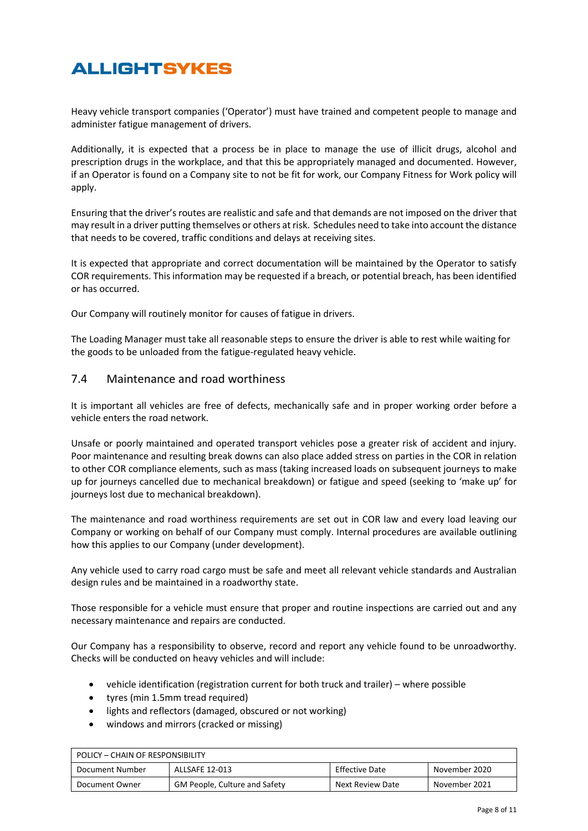Heavy vehicle transport companies ('Operator') must have trained and competent people to manage and administer fatigue management of drivers.

Additionally, it is expected that a process be in place to manage the use of illicit drugs, alcohol and prescription drugs in the workplace, and that this be appropriately managed and documented. However, if an Operator is found on a Company site to not be fit for work, our Company Fitness for Work policy will apply.

Ensuring that the driver's routes are realistic and safe and that demands are not imposed on the driver that may result in a driver putting themselves or others at risk. Schedules need to take into account the distance that needs to be covered, traffic conditions and delays at receiving sites.

It is expected that appropriate and correct documentation will be maintained by the Operator to satisfy COR requirements. This information may be requested if a breach, or potential breach, has been identified or has occurred.

Our Company will routinely monitor for causes of fatigue in drivers.

The Loading Manager must take all reasonable steps to ensure the driver is able to rest while waiting for the goods to be unloaded from the fatigue-regulated heavy vehicle.

#### 7.4 Maintenance and road worthiness

It is important all vehicles are free of defects, mechanically safe and in proper working order before a vehicle enters the road network.

Unsafe or poorly maintained and operated transport vehicles pose a greater risk of accident and injury. Poor maintenance and resulting break downs can also place added stress on parties in the COR in relation to other COR compliance elements, such as mass (taking increased loads on subsequent journeys to make up for journeys cancelled due to mechanical breakdown) or fatigue and speed (seeking to 'make up' for journeys lost due to mechanical breakdown).

The maintenance and road worthiness requirements are set out in COR law and every load leaving our Company or working on behalf of our Company must comply. Internal procedures are available outlining how this applies to our Company (under development).

Any vehicle used to carry road cargo must be safe and meet all relevant vehicle standards and Australian design rules and be maintained in a roadworthy state.

Those responsible for a vehicle must ensure that proper and routine inspections are carried out and any necessary maintenance and repairs are conducted.

Our Company has a responsibility to observe, record and report any vehicle found to be unroadworthy. Checks will be conducted on heavy vehicles and will include:

- vehicle identification (registration current for both truck and trailer) where possible
- tyres (min 1.5mm tread required)
- lights and reflectors (damaged, obscured or not working)
- windows and mirrors (cracked or missing)

| POLICY – CHAIN OF RESPONSIBILITY                                            |                                      |                  |               |
|-----------------------------------------------------------------------------|--------------------------------------|------------------|---------------|
| <b>Effective Date</b><br>ALLSAFE 12-013<br>November 2020<br>Document Number |                                      |                  |               |
| Document Owner                                                              | <b>GM People, Culture and Safety</b> | Next Review Date | November 2021 |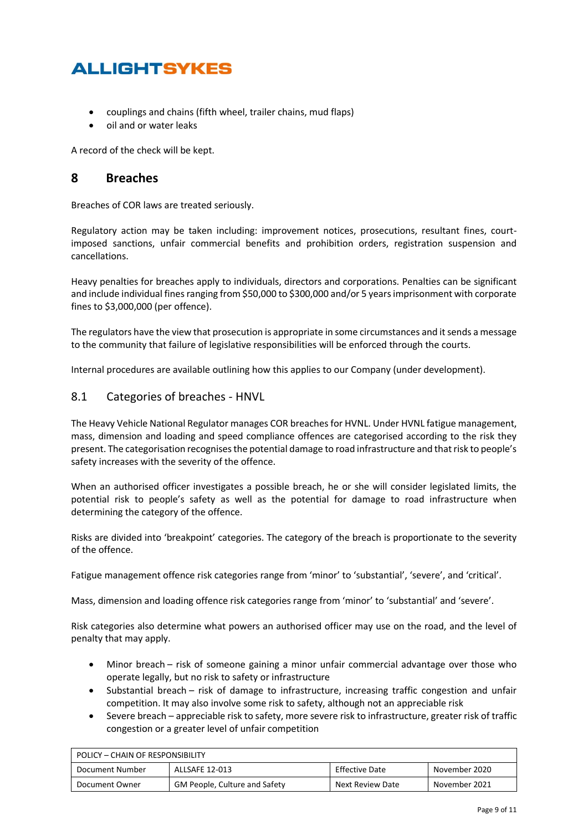- couplings and chains (fifth wheel, trailer chains, mud flaps)
- oil and or water leaks

A record of the check will be kept.

### **8 Breaches**

Breaches of COR laws are treated seriously.

Regulatory action may be taken including: improvement notices, prosecutions, resultant fines, courtimposed sanctions, unfair commercial benefits and prohibition orders, registration suspension and cancellations.

Heavy penalties for breaches apply to individuals, directors and corporations. Penalties can be significant and include individual fines ranging from \$50,000 to \$300,000 and/or 5 years imprisonment with corporate fines to \$3,000,000 (per offence).

The regulators have the view that prosecution is appropriate in some circumstances and it sends a message to the community that failure of legislative responsibilities will be enforced through the courts.

Internal procedures are available outlining how this applies to our Company (under development).

#### 8.1 Categories of breaches - HNVL

The Heavy Vehicle National Regulator manages COR breaches for HVNL. Under HVNL fatigue management, mass, dimension and loading and speed compliance offences are categorised according to the risk they present. The categorisation recognises the potential damage to road infrastructure and that risk to people's safety increases with the severity of the offence.

When an authorised officer investigates a possible breach, he or she will consider legislated limits, the potential risk to people's safety as well as the potential for damage to road infrastructure when determining the category of the offence.

Risks are divided into 'breakpoint' categories. The category of the breach is proportionate to the severity of the offence.

Fatigue management offence risk categories range from 'minor' to 'substantial', 'severe', and 'critical'.

Mass, dimension and loading offence risk categories range from 'minor' to 'substantial' and 'severe'.

Risk categories also determine what powers an authorised officer may use on the road, and the level of penalty that may apply.

- Minor breach risk of someone gaining a minor unfair commercial advantage over those who operate legally, but no risk to safety or infrastructure
- Substantial breach risk of damage to infrastructure, increasing traffic congestion and unfair competition. It may also involve some risk to safety, although not an appreciable risk
- Severe breach appreciable risk to safety, more severe risk to infrastructure, greater risk of traffic congestion or a greater level of unfair competition

| POLICY - CHAIN OF RESPONSIBILITY                                            |                                      |                  |               |
|-----------------------------------------------------------------------------|--------------------------------------|------------------|---------------|
| <b>Effective Date</b><br>ALLSAFE 12-013<br>Document Number<br>November 2020 |                                      |                  |               |
| Document Owner                                                              | <b>GM People, Culture and Safety</b> | Next Review Date | November 2021 |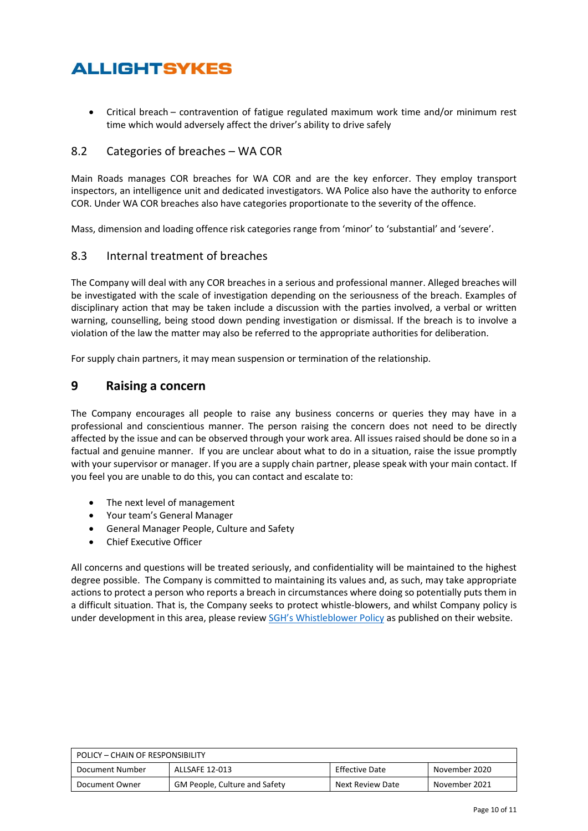• Critical breach – contravention of fatigue regulated maximum work time and/or minimum rest time which would adversely affect the driver's ability to drive safely

### 8.2 Categories of breaches – WA COR

Main Roads manages COR breaches for WA COR and are the key enforcer. They employ transport inspectors, an intelligence unit and dedicated investigators. WA Police also have the authority to enforce COR. Under WA COR breaches also have categories proportionate to the severity of the offence.

Mass, dimension and loading offence risk categories range from 'minor' to 'substantial' and 'severe'.

#### 8.3 Internal treatment of breaches

The Company will deal with any COR breaches in a serious and professional manner. Alleged breaches will be investigated with the scale of investigation depending on the seriousness of the breach. Examples of disciplinary action that may be taken include a discussion with the parties involved, a verbal or written warning, counselling, being stood down pending investigation or dismissal. If the breach is to involve a violation of the law the matter may also be referred to the appropriate authorities for deliberation.

For supply chain partners, it may mean suspension or termination of the relationship.

### **9 Raising a concern**

The Company encourages all people to raise any business concerns or queries they may have in a professional and conscientious manner. The person raising the concern does not need to be directly affected by the issue and can be observed through your work area. All issues raised should be done so in a factual and genuine manner. If you are unclear about what to do in a situation, raise the issue promptly with your supervisor or manager. If you are a supply chain partner, please speak with your main contact. If you feel you are unable to do this, you can contact and escalate to:

- The next level of management
- Your team's General Manager
- General Manager People, Culture and Safety
- Chief Executive Officer

All concerns and questions will be treated seriously, and confidentiality will be maintained to the highest degree possible. The Company is committed to maintaining its values and, as such, may take appropriate actions to protect a person who reports a breach in circumstances where doing so potentially puts them in a difficult situation. That is, the Company seeks to protect whistle-blowers, and whilst Company policy is under development in this area, please review [SGH's Whistleblower Policy](https://www.sevengroup.com.au/assets/Corporate-Governance/4497496191/sgh-whistleblower-policy-june-2019-final.pdf) as published on their website.

| POLICY – CHAIN OF RESPONSIBILITY                                            |                                      |                  |               |
|-----------------------------------------------------------------------------|--------------------------------------|------------------|---------------|
| <b>Effective Date</b><br>ALLSAFE 12-013<br>Document Number<br>November 2020 |                                      |                  |               |
| Document Owner                                                              | <b>GM People, Culture and Safety</b> | Next Review Date | November 2021 |